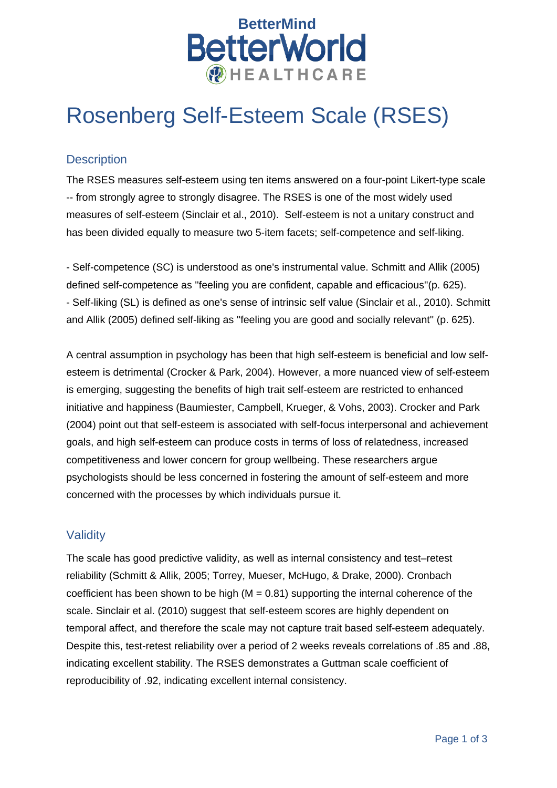

# Rosenberg Self-Esteem Scale (RSES)

# **Description**

The RSES measures self-esteem using ten items answered on a four-point Likert-type scale -- from strongly agree to strongly disagree. The RSES is one of the most widely used measures of self-esteem (Sinclair et al., 2010). Self-esteem is not a unitary construct and has been divided equally to measure two 5-item facets; self-competence and self-liking.

- Self-competence (SC) is understood as one's instrumental value. Schmitt and Allik (2005) defined self-competence as ''feeling you are confident, capable and efficacious''(p. 625). - Self-liking (SL) is defined as one's sense of intrinsic self value (Sinclair et al., 2010). Schmitt and Allik (2005) defined self-liking as ''feeling you are good and socially relevant'' (p. 625).

A central assumption in psychology has been that high self-esteem is beneficial and low selfesteem is detrimental (Crocker & Park, 2004). However, a more nuanced view of self-esteem is emerging, suggesting the benefits of high trait self-esteem are restricted to enhanced initiative and happiness (Baumiester, Campbell, Krueger, & Vohs, 2003). Crocker and Park (2004) point out that self-esteem is associated with self-focus interpersonal and achievement goals, and high self-esteem can produce costs in terms of loss of relatedness, increased competitiveness and lower concern for group wellbeing. These researchers argue psychologists should be less concerned in fostering the amount of self-esteem and more concerned with the processes by which individuals pursue it.

# **Validity**

The scale has good predictive validity, as well as internal consistency and test–retest reliability (Schmitt & Allik, 2005; Torrey, Mueser, McHugo, & Drake, 2000). Cronbach coefficient has been shown to be high  $(M = 0.81)$  supporting the internal coherence of the scale. Sinclair et al. (2010) suggest that self-esteem scores are highly dependent on temporal affect, and therefore the scale may not capture trait based self-esteem adequately. Despite this, test-retest reliability over a period of 2 weeks reveals correlations of .85 and .88, indicating excellent stability. The RSES demonstrates a Guttman scale coefficient of reproducibility of .92, indicating excellent internal consistency.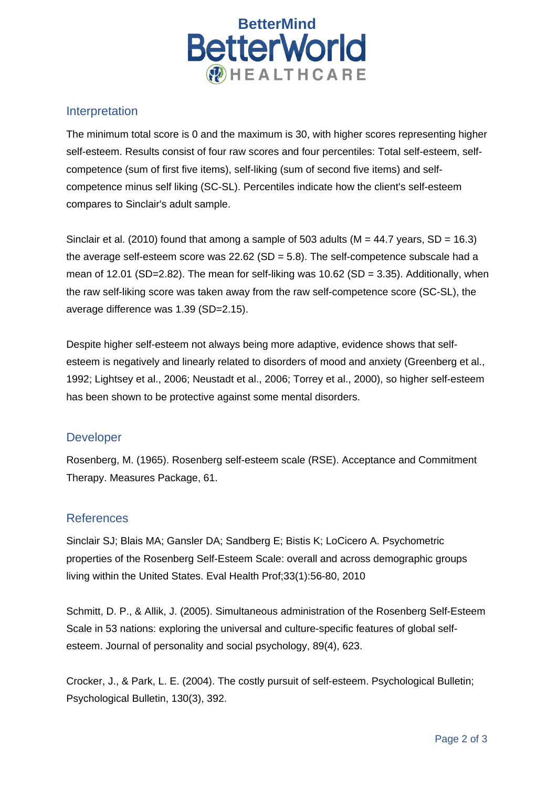

#### Interpretation

The minimum total score is 0 and the maximum is 30, with higher scores representing higher self-esteem. Results consist of four raw scores and four percentiles: Total self-esteem, selfcompetence (sum of first five items), self-liking (sum of second five items) and selfcompetence minus self liking (SC-SL). Percentiles indicate how the client's self-esteem compares to Sinclair's adult sample.

Sinclair et al. (2010) found that among a sample of 503 adults ( $M = 44.7$  years, SD = 16.3) the average self-esteem score was  $22.62$  (SD =  $5.8$ ). The self-competence subscale had a mean of 12.01 (SD=2.82). The mean for self-liking was 10.62 (SD = 3.35). Additionally, when the raw self-liking score was taken away from the raw self-competence score (SC-SL), the average difference was 1.39 (SD=2.15).

Despite higher self-esteem not always being more adaptive, evidence shows that selfesteem is negatively and linearly related to disorders of mood and anxiety (Greenberg et al., 1992; Lightsey et al., 2006; Neustadt et al., 2006; Torrey et al., 2000), so higher self-esteem has been shown to be protective against some mental disorders.

# Developer

Rosenberg, M. (1965). Rosenberg self-esteem scale (RSE). Acceptance and Commitment Therapy. Measures Package, 61.

# References

Sinclair SJ; Blais MA; Gansler DA; Sandberg E; Bistis K; LoCicero A. Psychometric properties of the Rosenberg Self-Esteem Scale: overall and across demographic groups living within the United States. Eval Health Prof;33(1):56-80, 2010

Schmitt, D. P., & Allik, J. (2005). Simultaneous administration of the Rosenberg Self-Esteem Scale in 53 nations: exploring the universal and culture-specific features of global selfesteem. Journal of personality and social psychology, 89(4), 623.

Crocker, J., & Park, L. E. (2004). The costly pursuit of self-esteem. Psychological Bulletin; Psychological Bulletin, 130(3), 392.